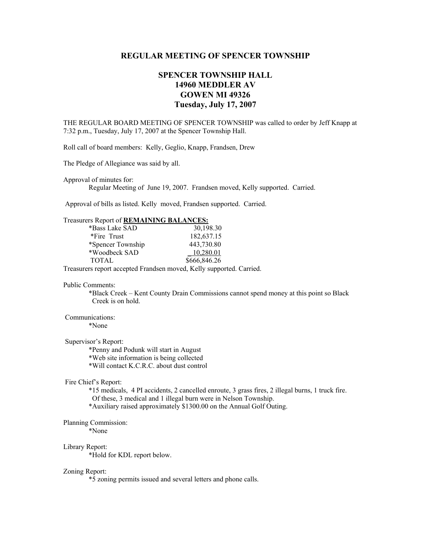# **REGULAR MEETING OF SPENCER TOWNSHIP**

# **SPENCER TOWNSHIP HALL 14960 MEDDLER AV GOWEN MI 49326 Tuesday, July 17, 2007**

THE REGULAR BOARD MEETING OF SPENCER TOWNSHIP was called to order by Jeff Knapp at 7:32 p.m., Tuesday, July 17, 2007 at the Spencer Township Hall.

Roll call of board members: Kelly, Geglio, Knapp, Frandsen, Drew

The Pledge of Allegiance was said by all.

Approval of minutes for:

Regular Meeting of June 19, 2007. Frandsen moved, Kelly supported. Carried.

Approval of bills as listed. Kelly moved, Frandsen supported. Carried.

### Treasurers Report of **REMAINING BALANCES:**

| *Bass Lake SAD    | 30,198.30    |
|-------------------|--------------|
| *Fire Trust       | 182,637.15   |
| *Spencer Township | 443,730.80   |
| *Woodbeck SAD     | 10,280.01    |
| <b>TOTAL</b>      | \$666,846.26 |

Treasurers report accepted Frandsen moved, Kelly supported. Carried.

#### Public Comments:

 \*Black Creek – Kent County Drain Commissions cannot spend money at this point so Black Creek is on hold.

# Communications:

\*None

# Supervisor's Report:

 \*Penny and Podunk will start in August \*Web site information is being collected \*Will contact K.C.R.C. about dust control

#### Fire Chief's Report:

 \*15 medicals, 4 PI accidents, 2 cancelled enroute, 3 grass fires, 2 illegal burns, 1 truck fire. Of these, 3 medical and 1 illegal burn were in Nelson Township.

\*Auxiliary raised approximately \$1300.00 on the Annual Golf Outing.

# Planning Commission:

\*None

#### Library Report:

\*Hold for KDL report below.

#### Zoning Report:

\*5 zoning permits issued and several letters and phone calls.